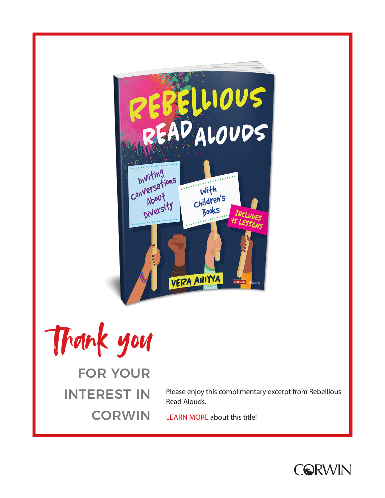

Thank you

## FOR YOUR INTEREST IN **CORWIN**

Please enjoy this complimentary excerpt from Rebellious Read Alouds.

[LEARN MORE](https://us.corwin.com/en-us/nam/rebellious-read-alouds/book277009) about this title!

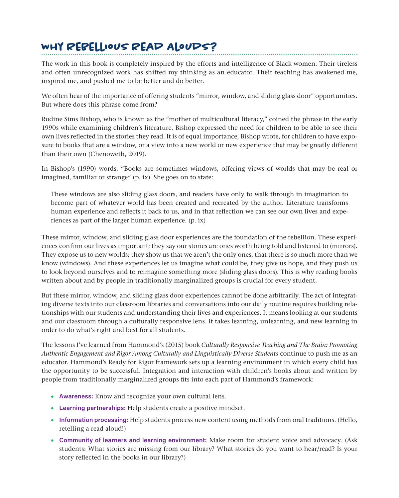## **Why Rebellious Read Alouds?**

The work in this book is completely inspired by the efforts and intelligence of Black women. Their tireless and often unrecognized work has shifted my thinking as an educator. Their teaching has awakened me, inspired me, and pushed me to be better and do better.

We often hear of the importance of offering students "mirror, window, and sliding glass door" opportunities. But where does this phrase come from?

Rudine Sims Bishop, who is known as the "mother of multicultural literacy," coined the phrase in the early 1990s while examining children's literature. Bishop expressed the need for children to be able to see their own lives reflected in the stories they read. It is of equal importance, Bishop wrote, for children to have exposure to books that are a window, or a view into a new world or new experience that may be greatly different than their own (Chenoweth, 2019).

In Bishop's (1990) words, "Books are sometimes windows, offering views of worlds that may be real or imagined, familiar or strange" (p. ix). She goes on to state:

These windows are also sliding glass doors, and readers have only to walk through in imagination to become part of whatever world has been created and recreated by the author. Literature transforms human experience and reflects it back to us, and in that reflection we can see our own lives and experiences as part of the larger human experience. (p. ix)

These mirror, window, and sliding glass door experiences are the foundation of the rebellion. These experiences confirm our lives as important; they say our stories are ones worth being told and listened to (mirrors). They expose us to new worlds; they show us that we aren't the only ones, that there is so much more than we know (windows). And these experiences let us imagine what could be, they give us hope, and they push us to look beyond ourselves and to reimagine something more (sliding glass doors). This is why reading books written about and by people in traditionally marginalized groups is crucial for every student.

But these mirror, window, and sliding glass door experiences cannot be done arbitrarily. The act of integrating diverse texts into our classroom libraries and conversations into our daily routine requires building relationships with our students and understanding their lives and experiences. It means looking at our students and our classroom through a culturally responsive lens. It takes learning, unlearning, and new learning in order to do what's right and best for all students.

The lessons I've learned from Hammond's (2015) book *Culturally Responsive Teaching and The Brain: Promoting Authentic Engagement and Rigor Among Culturally and Linguistically Diverse Students* continue to push me as an educator. Hammond's Ready for Rigor framework sets up a learning environment in which every child has the opportunity to be successful. Integration and interaction with children's books about and written by people from traditionally marginalized groups fits into each part of Hammond's framework:

- **Awareness:** Know and recognize your own cultural lens.
- **Learning partnerships:** Help students create a positive mindset.
- **Information processing:** Help students process new content using methods from oral traditions. (Hello, retelling a read aloud!)
- **Community of learners and learning environment:** Make room for student voice and advocacy. (Ask students: What stories are missing from our library? What stories do you want to hear/read? Is your story reflected in the books in our library?)